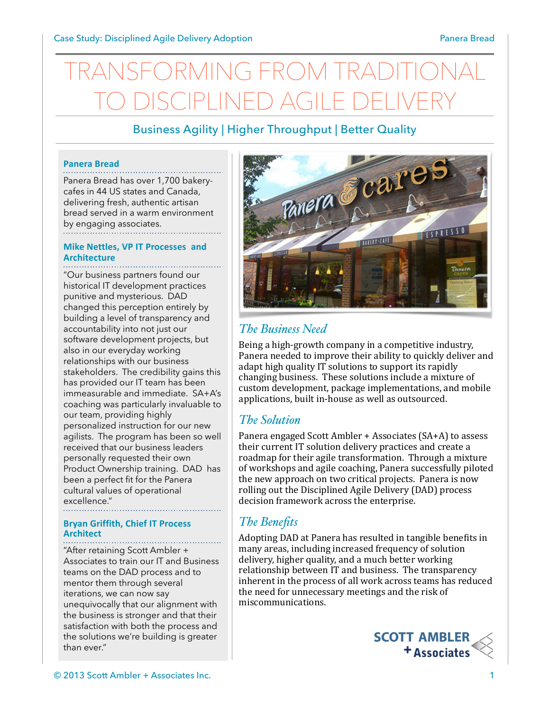# NG FROM TR TO DISCIPLINED AGILE DELIVERY

# Business Agility | Higher Throughput | Better Quality

#### **Panera Bread**

Panera Bread has over 1,700 bakerycafes in 44 US states and Canada, delivering fresh, authentic artisan bread served in a warm environment by engaging associates.

#### **Mike Nettles, VP IT Processes and Architecture**

"Our business partners found our historical IT development practices punitive and mysterious. DAD changed this perception entirely by building a level of transparency and accountability into not just our software development projects, but also in our everyday working relationships with our business stakeholders. The credibility gains this has provided our IT team has been immeasurable and immediate. SA+A's coaching was particularly invaluable to our team, providing highly personalized instruction for our new agilists. The program has been so well received that our business leaders personally requested their own Product Ownership training. DAD has been a perfect fit for the Panera cultural values of operational excellence."

#### **Bryan Griffith, Chief IT Process Architect**

"After retaining Scott Ambler + Associates to train our IT and Business teams on the DAD process and to mentor them through several iterations, we can now say unequivocally that our alignment with the business is stronger and that their satisfaction with both the process and the solutions we're building is greater than ever."



# *The Business Need*

Being a high-growth company in a competitive industry, Panera needed to improve their ability to quickly deliver and adapt high quality IT solutions to support its rapidly changing business. These solutions include a mixture of custom development, package implementations, and mobile applications, built in-house as well as outsourced.

## *The Solution*

Panera engaged Scott Ambler + Associates (SA+A) to assess their current IT solution delivery practices and create a roadmap for their agile transformation. Through a mixture of workshops and agile coaching, Panera successfully piloted the new approach on two critical projects. Panera is now rolling out the Disciplined Agile Delivery (DAD) process decision framework across the enterprise.

# *The Benefits*

Adopting DAD at Panera has resulted in tangible benefits in many areas, including increased frequency of solution delivery, higher quality, and a much better working relationship between IT and business. The transparency inherent in the process of all work across teams has reduced the need for unnecessary meetings and the risk of miscommunications.